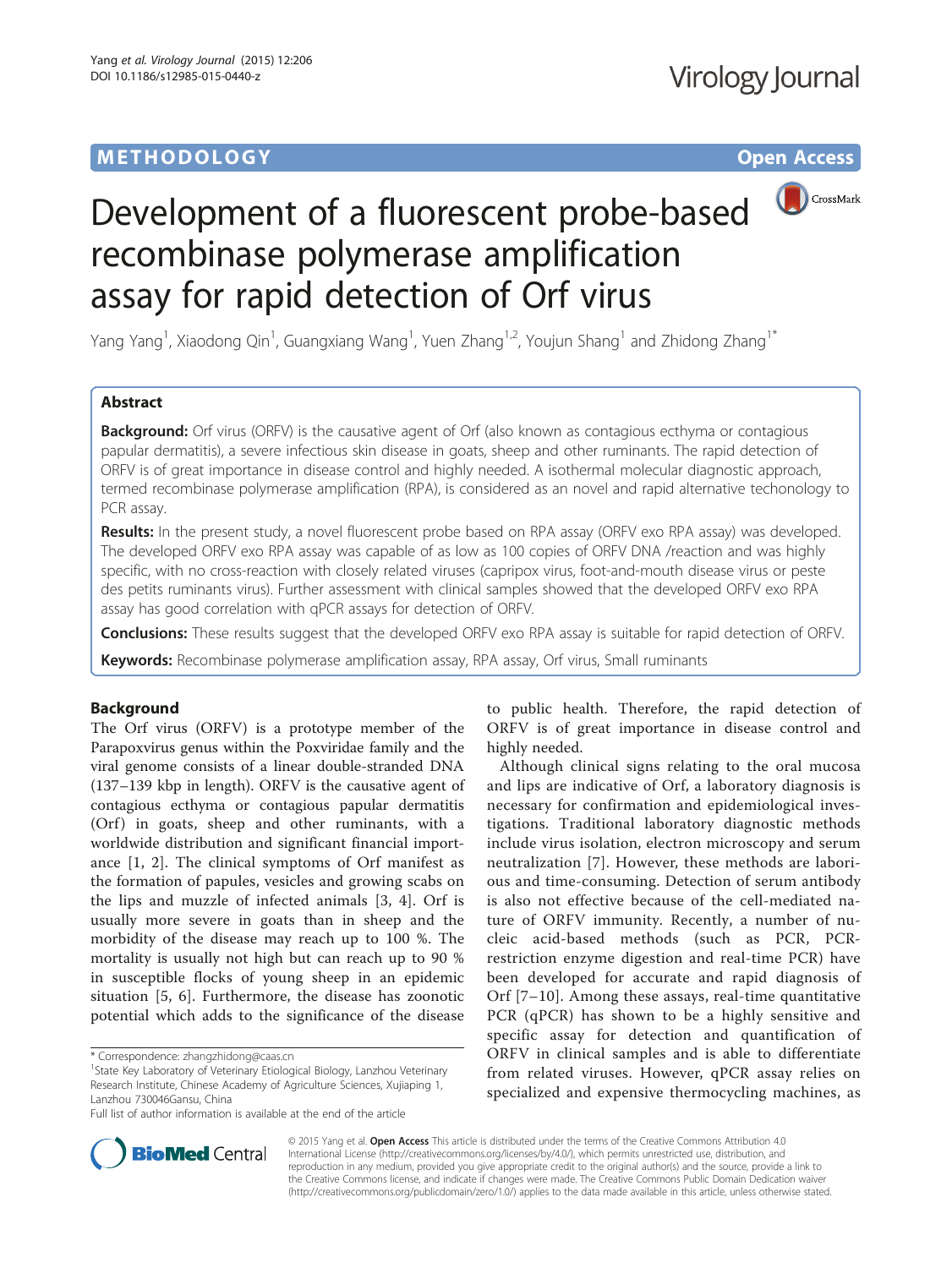# **METHODOLOGY CONSUMING ACCESS**



# Development of a fluorescent probe-based recombinase polymerase amplification assay for rapid detection of Orf virus

Yang Yang<sup>1</sup>, Xiaodong Qin<sup>1</sup>, Guangxiang Wang<sup>1</sup>, Yuen Zhang<sup>1,2</sup>, Youjun Shang<sup>1</sup> and Zhidong Zhang<sup>1\*</sup>

## Abstract

Background: Orf virus (ORFV) is the causative agent of Orf (also known as contagious ecthyma or contagious papular dermatitis), a severe infectious skin disease in goats, sheep and other ruminants. The rapid detection of ORFV is of great importance in disease control and highly needed. A isothermal molecular diagnostic approach, termed recombinase polymerase amplification (RPA), is considered as an novel and rapid alternative techonology to PCR assay.

Results: In the present study, a novel fluorescent probe based on RPA assay (ORFV exo RPA assay) was developed. The developed ORFV exo RPA assay was capable of as low as 100 copies of ORFV DNA /reaction and was highly specific, with no cross-reaction with closely related viruses (capripox virus, foot-and-mouth disease virus or peste des petits ruminants virus). Further assessment with clinical samples showed that the developed ORFV exo RPA assay has good correlation with qPCR assays for detection of ORFV.

Conclusions: These results suggest that the developed ORFV exo RPA assay is suitable for rapid detection of ORFV.

Keywords: Recombinase polymerase amplification assay, RPA assay, Orf virus, Small ruminants

### Background

The Orf virus (ORFV) is a prototype member of the Parapoxvirus genus within the Poxviridae family and the viral genome consists of a linear double-stranded DNA (137–139 kbp in length). ORFV is the causative agent of contagious ecthyma or contagious papular dermatitis (Orf) in goats, sheep and other ruminants, with a worldwide distribution and significant financial importance [\[1](#page-6-0), [2\]](#page-6-0). The clinical symptoms of Orf manifest as the formation of papules, vesicles and growing scabs on the lips and muzzle of infected animals [[3](#page-6-0), [4\]](#page-6-0). Orf is usually more severe in goats than in sheep and the morbidity of the disease may reach up to 100 %. The mortality is usually not high but can reach up to 90 % in susceptible flocks of young sheep in an epidemic situation [\[5](#page-6-0), [6\]](#page-6-0). Furthermore, the disease has zoonotic potential which adds to the significance of the disease

to public health. Therefore, the rapid detection of ORFV is of great importance in disease control and highly needed.

Although clinical signs relating to the oral mucosa and lips are indicative of Orf, a laboratory diagnosis is necessary for confirmation and epidemiological investigations. Traditional laboratory diagnostic methods include virus isolation, electron microscopy and serum neutralization [[7\]](#page-6-0). However, these methods are laborious and time-consuming. Detection of serum antibody is also not effective because of the cell-mediated nature of ORFV immunity. Recently, a number of nucleic acid-based methods (such as PCR, PCRrestriction enzyme digestion and real-time PCR) have been developed for accurate and rapid diagnosis of Orf [[7](#page-6-0)–[10](#page-6-0)]. Among these assays, real-time quantitative PCR (qPCR) has shown to be a highly sensitive and specific assay for detection and quantification of ORFV in clinical samples and is able to differentiate from related viruses. However, qPCR assay relies on specialized and expensive thermocycling machines, as



© 2015 Yang et al. Open Access This article is distributed under the terms of the Creative Commons Attribution 4.0 International License [\(http://creativecommons.org/licenses/by/4.0/](http://creativecommons.org/licenses/by/4.0/)), which permits unrestricted use, distribution, and reproduction in any medium, provided you give appropriate credit to the original author(s) and the source, provide a link to the Creative Commons license, and indicate if changes were made. The Creative Commons Public Domain Dedication waiver [\(http://creativecommons.org/publicdomain/zero/1.0/](http://creativecommons.org/publicdomain/zero/1.0/)) applies to the data made available in this article, unless otherwise stated.

<sup>\*</sup> Correspondence: [zhangzhidong@caas.cn](mailto:zhangzhidong@caas.cn) <sup>1</sup>

<sup>&</sup>lt;sup>1</sup>State Key Laboratory of Veterinary Etiological Biology, Lanzhou Veterinary Research Institute, Chinese Academy of Agriculture Sciences, Xujiaping 1, Lanzhou 730046Gansu, China

Full list of author information is available at the end of the article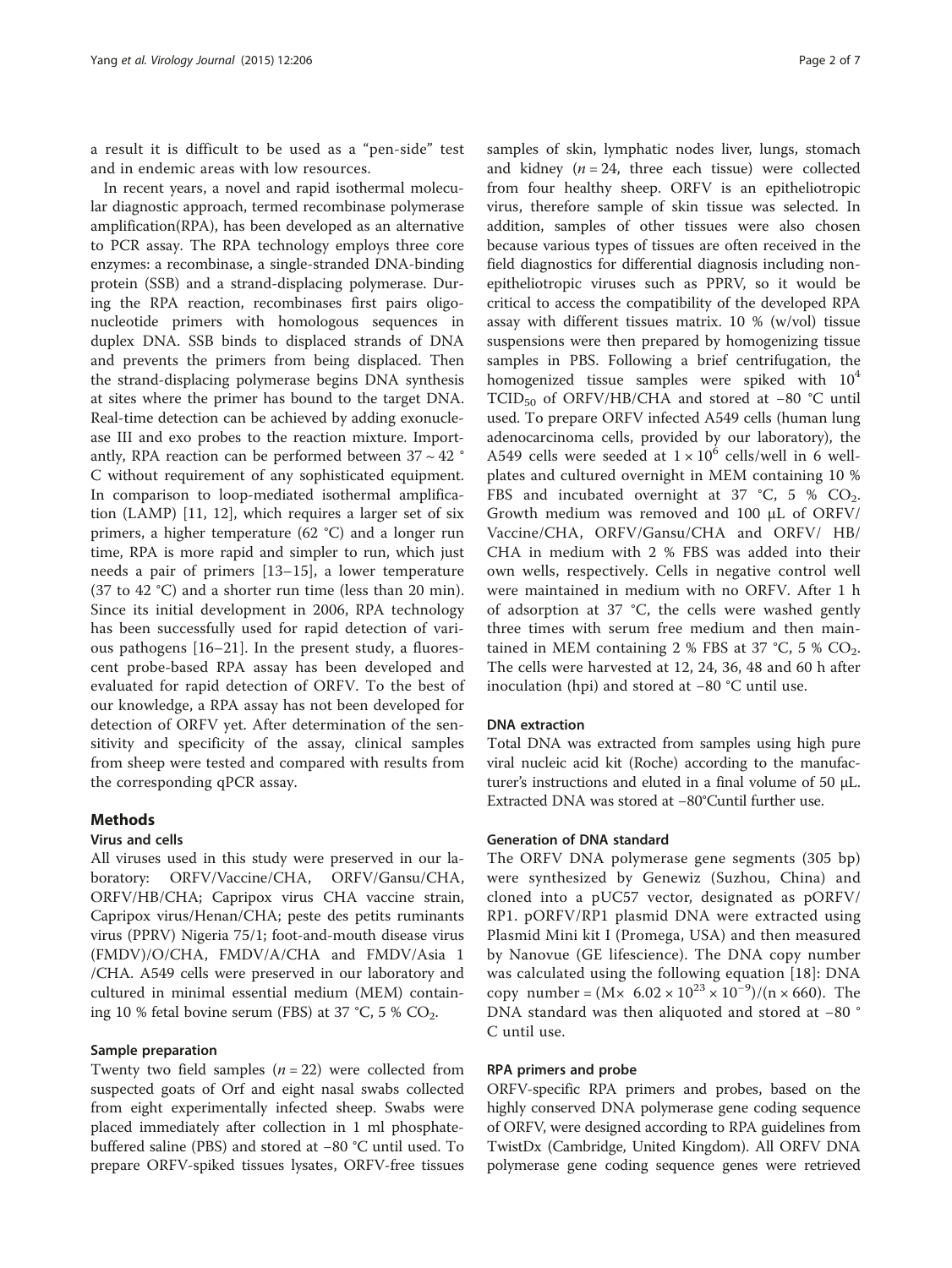a result it is difficult to be used as a "pen-side" test and in endemic areas with low resources.

In recent years, a novel and rapid isothermal molecular diagnostic approach, termed recombinase polymerase amplification(RPA), has been developed as an alternative to PCR assay. The RPA technology employs three core enzymes: a recombinase, a single-stranded DNA-binding protein (SSB) and a strand-displacing polymerase. During the RPA reaction, recombinases first pairs oligonucleotide primers with homologous sequences in duplex DNA. SSB binds to displaced strands of DNA and prevents the primers from being displaced. Then the strand-displacing polymerase begins DNA synthesis at sites where the primer has bound to the target DNA. Real-time detection can be achieved by adding exonuclease III and exo probes to the reaction mixture. Importantly, RPA reaction can be performed between  $37 \sim 42$ C without requirement of any sophisticated equipment. In comparison to loop-mediated isothermal amplification (LAMP) [[11](#page-6-0), [12](#page-6-0)], which requires a larger set of six primers, a higher temperature (62 °C) and a longer run time, RPA is more rapid and simpler to run, which just needs a pair of primers [\[13](#page-6-0)–[15](#page-6-0)], a lower temperature (37 to 42 °C) and a shorter run time (less than 20 min). Since its initial development in 2006, RPA technology has been successfully used for rapid detection of various pathogens [[16](#page-6-0)–[21\]](#page-6-0). In the present study, a fluorescent probe-based RPA assay has been developed and evaluated for rapid detection of ORFV. To the best of our knowledge, a RPA assay has not been developed for detection of ORFV yet. After determination of the sensitivity and specificity of the assay, clinical samples from sheep were tested and compared with results from the corresponding qPCR assay.

### Methods

#### Virus and cells

All viruses used in this study were preserved in our laboratory: ORFV/Vaccine/CHA, ORFV/Gansu/CHA, ORFV/HB/CHA; Capripox virus CHA vaccine strain, Capripox virus/Henan/CHA; peste des petits ruminants virus (PPRV) Nigeria 75/1; foot-and-mouth disease virus (FMDV)/O/CHA, FMDV/A/CHA and FMDV/Asia 1 /CHA. A549 cells were preserved in our laboratory and cultured in minimal essential medium (MEM) containing 10 % fetal bovine serum (FBS) at 37 °C, 5 %  $CO_2$ .

#### Sample preparation

Twenty two field samples  $(n = 22)$  were collected from suspected goats of Orf and eight nasal swabs collected from eight experimentally infected sheep. Swabs were placed immediately after collection in 1 ml phosphatebuffered saline (PBS) and stored at −80 °C until used. To prepare ORFV-spiked tissues lysates, ORFV-free tissues samples of skin, lymphatic nodes liver, lungs, stomach and kidney ( $n = 24$ , three each tissue) were collected from four healthy sheep. ORFV is an epitheliotropic virus, therefore sample of skin tissue was selected. In addition, samples of other tissues were also chosen because various types of tissues are often received in the field diagnostics for differential diagnosis including nonepitheliotropic viruses such as PPRV, so it would be critical to access the compatibility of the developed RPA assay with different tissues matrix. 10 % (w/vol) tissue suspensions were then prepared by homogenizing tissue samples in PBS. Following a brief centrifugation, the homogenized tissue samples were spiked with  $10<sup>4</sup>$ TCID<sub>50</sub> of ORFV/HB/CHA and stored at −80 °C until used. To prepare ORFV infected A549 cells (human lung adenocarcinoma cells, provided by our laboratory), the A549 cells were seeded at  $1 \times 10^6$  cells/well in 6 wellplates and cultured overnight in MEM containing 10 % FBS and incubated overnight at 37  $°C$ , 5 %  $CO<sub>2</sub>$ . Growth medium was removed and 100 μL of ORFV/ Vaccine/CHA, ORFV/Gansu/CHA and ORFV/ HB/ CHA in medium with 2 % FBS was added into their own wells, respectively. Cells in negative control well were maintained in medium with no ORFV. After 1 h of adsorption at 37 °C, the cells were washed gently three times with serum free medium and then maintained in MEM containing 2 % FBS at 37 °C, 5 %  $CO<sub>2</sub>$ . The cells were harvested at 12, 24, 36, 48 and 60 h after inoculation (hpi) and stored at −80 °C until use.

#### DNA extraction

Total DNA was extracted from samples using high pure viral nucleic acid kit (Roche) according to the manufacturer's instructions and eluted in a final volume of 50 μL. Extracted DNA was stored at −80°Cuntil further use.

#### Generation of DNA standard

The ORFV DNA polymerase gene segments (305 bp) were synthesized by Genewiz (Suzhou, China) and cloned into a pUC57 vector, designated as pORFV/ RP1. pORFV/RP1 plasmid DNA were extracted using Plasmid Mini kit I (Promega, USA) and then measured by Nanovue (GE lifescience). The DNA copy number was calculated using the following equation [[18\]](#page-6-0): DNA copy number =  $(M \times 6.02 \times 10^{23} \times 10^{-9})/(n \times 660)$ . The DNA standard was then aliquoted and stored at −80 ° C until use.

#### RPA primers and probe

ORFV-specific RPA primers and probes, based on the highly conserved DNA polymerase gene coding sequence of ORFV, were designed according to RPA guidelines from TwistDx (Cambridge, United Kingdom). All ORFV DNA polymerase gene coding sequence genes were retrieved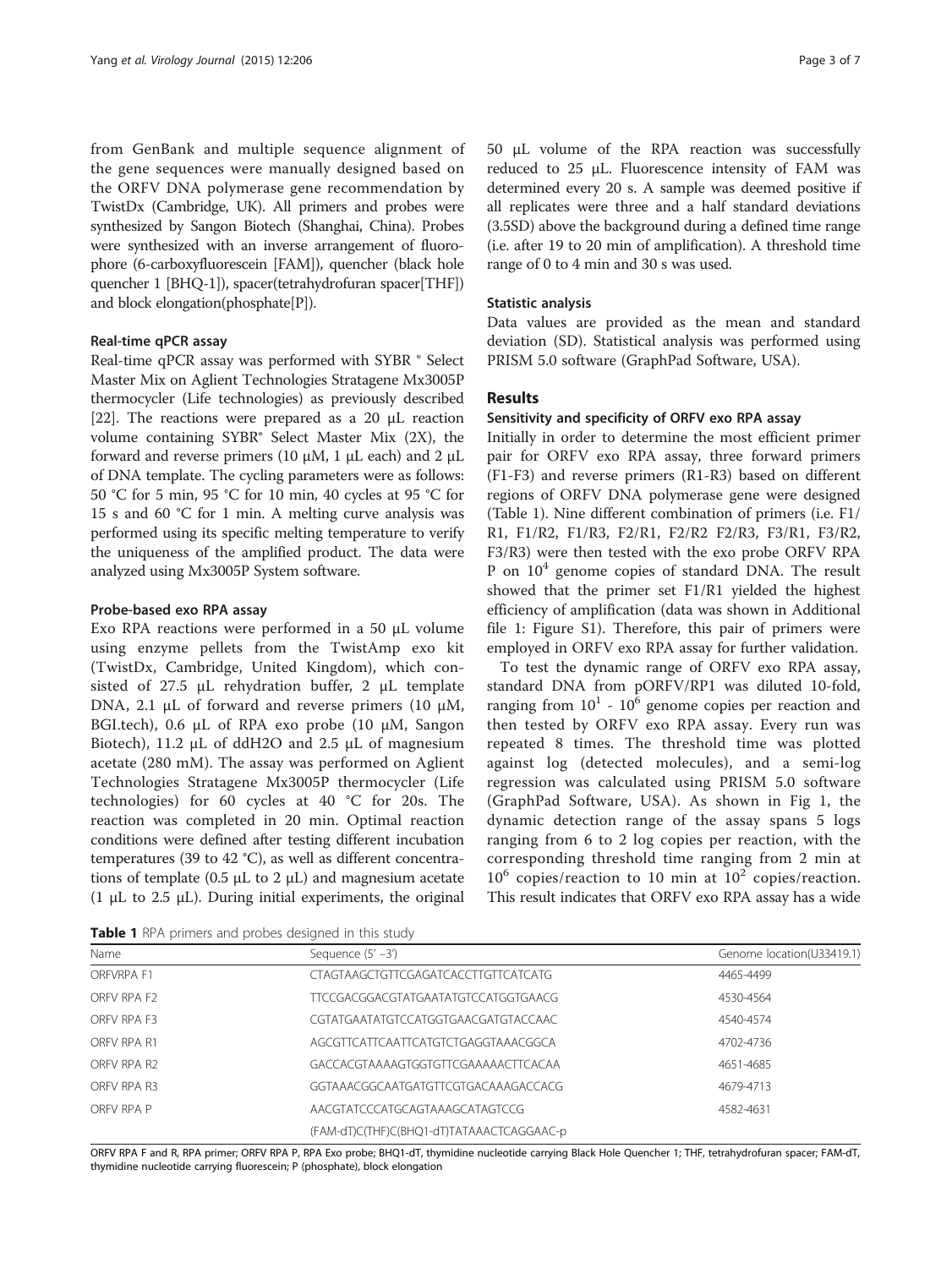from GenBank and multiple sequence alignment of the gene sequences were manually designed based on the ORFV DNA polymerase gene recommendation by TwistDx (Cambridge, UK). All primers and probes were synthesized by Sangon Biotech (Shanghai, China). Probes were synthesized with an inverse arrangement of fluorophore (6-carboxyfluorescein [FAM]), quencher (black hole quencher 1 [BHQ-1]), spacer(tetrahydrofuran spacer[THF]) and block elongation(phosphate[P]).

#### Real-time qPCR assay

Real-time qPCR assay was performed with SYBR ® Select Master Mix on Aglient Technologies Stratagene Mx3005P thermocycler (Life technologies) as previously described [[22](#page-6-0)]. The reactions were prepared as a 20 μL reaction volume containing SYBR® Select Master Mix (2X), the forward and reverse primers (10  $\mu$ M, 1  $\mu$ L each) and 2  $\mu$ L of DNA template. The cycling parameters were as follows: 50 °C for 5 min, 95 °C for 10 min, 40 cycles at 95 °C for 15 s and 60 °C for 1 min. A melting curve analysis was performed using its specific melting temperature to verify the uniqueness of the amplified product. The data were analyzed using Mx3005P System software.

#### Probe-based exo RPA assay

Exo RPA reactions were performed in a 50 μL volume using enzyme pellets from the TwistAmp exo kit (TwistDx, Cambridge, United Kingdom), which consisted of 27.5 μL rehydration buffer, 2 μL template DNA, 2.1 μL of forward and reverse primers (10 μM, BGI.tech), 0.6 μL of RPA exo probe (10 μM, Sangon Biotech), 11.2 μL of ddH2O and 2.5 μL of magnesium acetate (280 mM). The assay was performed on Aglient Technologies Stratagene Mx3005P thermocycler (Life technologies) for 60 cycles at 40 °C for 20s. The reaction was completed in 20 min. Optimal reaction conditions were defined after testing different incubation temperatures (39 to 42 °C), as well as different concentrations of template (0.5 μL to 2 μL) and magnesium acetate (1  $\mu$ L to 2.5  $\mu$ L). During initial experiments, the original 50 μL volume of the RPA reaction was successfully reduced to 25 μL. Fluorescence intensity of FAM was determined every 20 s. A sample was deemed positive if all replicates were three and a half standard deviations (3.5SD) above the background during a defined time range (i.e. after 19 to 20 min of amplification). A threshold time range of 0 to 4 min and 30 s was used.

#### Statistic analysis

Data values are provided as the mean and standard deviation (SD). Statistical analysis was performed using PRISM 5.0 software (GraphPad Software, USA).

#### Results

#### Sensitivity and specificity of ORFV exo RPA assay

Initially in order to determine the most efficient primer pair for ORFV exo RPA assay, three forward primers (F1-F3) and reverse primers (R1-R3) based on different regions of ORFV DNA polymerase gene were designed (Table 1). Nine different combination of primers (i.e. F1/ R1, F1/R2, F1/R3, F2/R1, F2/R2 F2/R3, F3/R1, F3/R2, F3/R3) were then tested with the exo probe ORFV RPA P on  $10<sup>4</sup>$  genome copies of standard DNA. The result showed that the primer set F1/R1 yielded the highest efficiency of amplification (data was shown in Additional file [1:](#page-5-0) Figure S1). Therefore, this pair of primers were employed in ORFV exo RPA assay for further validation.

To test the dynamic range of ORFV exo RPA assay, standard DNA from pORFV/RP1 was diluted 10-fold, ranging from  $10<sup>1</sup>$  -  $10<sup>6</sup>$  genome copies per reaction and then tested by ORFV exo RPA assay. Every run was repeated 8 times. The threshold time was plotted against log (detected molecules), and a semi-log regression was calculated using PRISM 5.0 software (GraphPad Software, USA). As shown in Fig [1,](#page-3-0) the dynamic detection range of the assay spans 5 logs ranging from 6 to 2 log copies per reaction, with the corresponding threshold time ranging from 2 min at  $10^6$  copies/reaction to 10 min at  $10^2$  copies/reaction. This result indicates that ORFV exo RPA assay has a wide

Table 1 RPA primers and probes designed in this study

| Name        | Sequence $(5' - 3')$                      | Genome location(U33419.1) |  |
|-------------|-------------------------------------------|---------------------------|--|
| ORFVRPA F1  | CTAGTAAGCTGTTCGAGATCACCTTGTTCATCATG       | 4465-4499                 |  |
| ORFV RPA F2 | TTCCGACGGACGTATGAATATGTCCATGGTGAACG       | 4530-4564                 |  |
| OREV RPA E3 | CGTATGAATATGTCCATGGTGAACGATGTACCAAC       | 4540-4574                 |  |
| OREV RPA R1 | AGCGTTCATTCAATTCATGTCTGAGGTAAACGGCA       | 4702-4736                 |  |
| OREV RPA R2 | GACCACGTAAAAGTGGTGTTCGAAAAACTTCACAA       | 4651-4685                 |  |
| OREV RPA R3 | GGTAAACGGCAATGATGTTCGTGACAAAGACCACG       | 4679-4713                 |  |
| ORFV RPA P  | AACGTATCCCATGCAGTAAAGCATAGTCCG            | 4582-4631                 |  |
|             | (FAM-dT)C(THF)C(BHQ1-dT)TATAAACTCAGGAAC-p |                           |  |

ORFV RPA F and R, RPA primer; ORFV RPA P, RPA Exo probe; BHQ1-dT, thymidine nucleotide carrying Black Hole Quencher 1; THF, tetrahydrofuran spacer; FAM-dT, thymidine nucleotide carrying fluorescein; P (phosphate), block elongation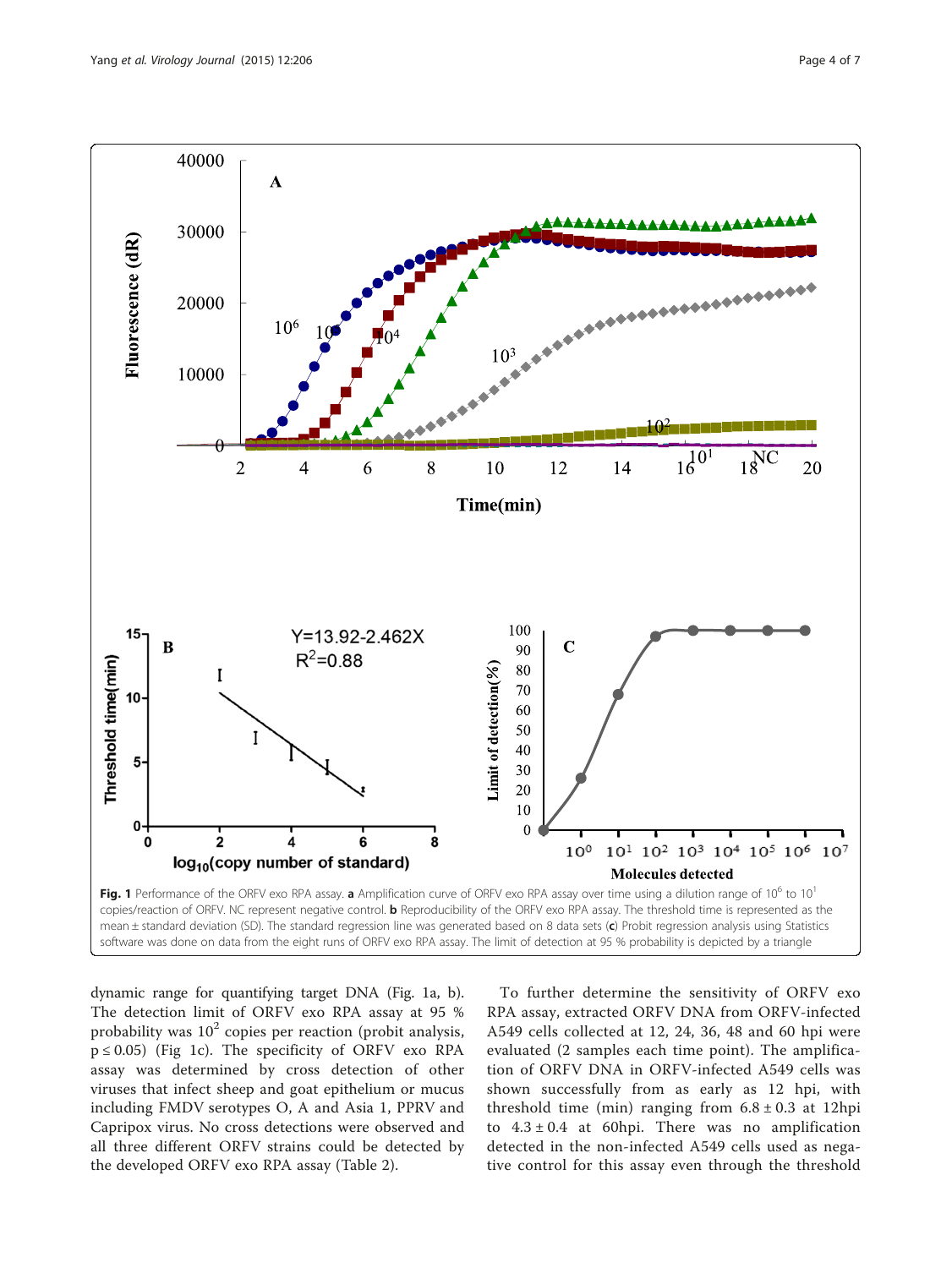<span id="page-3-0"></span>

dynamic range for quantifying target DNA (Fig. 1a, b). The detection limit of ORFV exo RPA assay at 95 % probability was  $10<sup>2</sup>$  copies per reaction (probit analysis,  $p \le 0.05$ ) (Fig 1c). The specificity of ORFV exo RPA assay was determined by cross detection of other viruses that infect sheep and goat epithelium or mucus including FMDV serotypes O, A and Asia 1, PPRV and Capripox virus. No cross detections were observed and all three different ORFV strains could be detected by the developed ORFV exo RPA assay (Table [2](#page-4-0)).

To further determine the sensitivity of ORFV exo RPA assay, extracted ORFV DNA from ORFV-infected A549 cells collected at 12, 24, 36, 48 and 60 hpi were evaluated (2 samples each time point). The amplification of ORFV DNA in ORFV-infected A549 cells was shown successfully from as early as 12 hpi, with threshold time (min) ranging from  $6.8 \pm 0.3$  at 12hpi to  $4.3 \pm 0.4$  at 60hpi. There was no amplification detected in the non-infected A549 cells used as negative control for this assay even through the threshold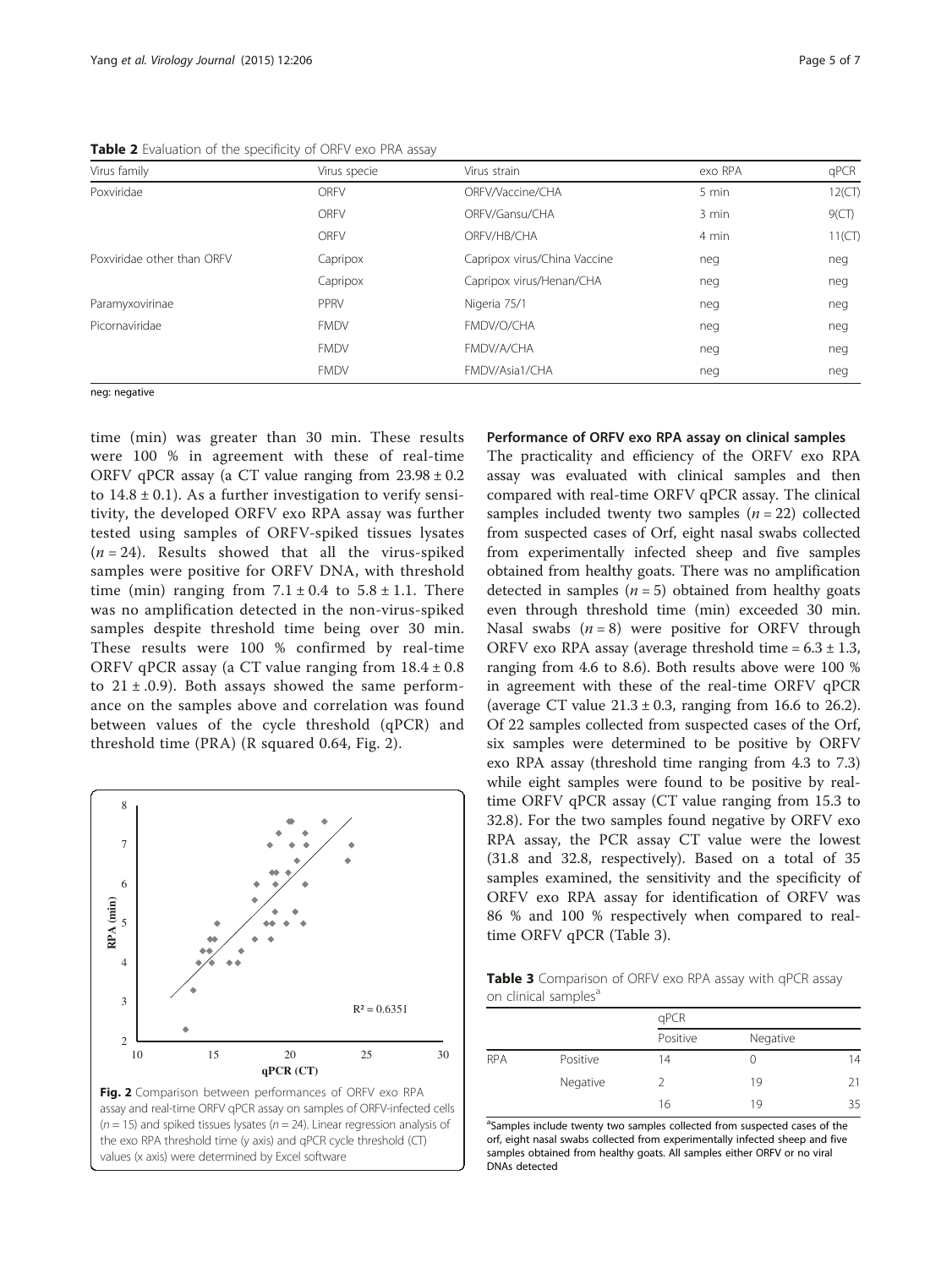<span id="page-4-0"></span>Table 2 Evaluation of the specificity of ORFV exo PRA assay

| Virus specie | Virus strain                 | exo RPA | qPCR      |
|--------------|------------------------------|---------|-----------|
| <b>ORFV</b>  | ORFV/Vaccine/CHA             | 5 min   | 12(CT)    |
| <b>ORFV</b>  | ORFV/Gansu/CHA               | 3 min   | 9(CT)     |
| <b>ORFV</b>  | ORFV/HB/CHA                  | 4 min   | $11$ (CT) |
| Capripox     | Capripox virus/China Vaccine | neg     | neg       |
| Capripox     | Capripox virus/Henan/CHA     | neg     | neg       |
| PPRV         | Nigeria 75/1                 | neg     | neg       |
| <b>FMDV</b>  | FMDV/O/CHA                   | neg     | neg       |
| <b>FMDV</b>  | FMDV/A/CHA                   | neg     | neg       |
| <b>FMDV</b>  | FMDV/Asia1/CHA               | neg     | neg       |
|              |                              |         |           |

neg: negative

time (min) was greater than 30 min. These results were 100 % in agreement with these of real-time ORFV qPCR assay (a CT value ranging from  $23.98 \pm 0.2$ to  $14.8 \pm 0.1$ ). As a further investigation to verify sensitivity, the developed ORFV exo RPA assay was further tested using samples of ORFV-spiked tissues lysates  $(n = 24)$ . Results showed that all the virus-spiked samples were positive for ORFV DNA, with threshold time (min) ranging from  $7.1 \pm 0.4$  to  $5.8 \pm 1.1$ . There was no amplification detected in the non-virus-spiked samples despite threshold time being over 30 min. These results were 100 % confirmed by real-time ORFV qPCR assay (a CT value ranging from  $18.4 \pm 0.8$ ) to  $21 \pm .0.9$ ). Both assays showed the same performance on the samples above and correlation was found between values of the cycle threshold (qPCR) and threshold time (PRA) (R squared 0.64, Fig. 2).



values (x axis) were determined by Excel software

#### Performance of ORFV exo RPA assay on clinical samples

The practicality and efficiency of the ORFV exo RPA assay was evaluated with clinical samples and then compared with real-time ORFV qPCR assay. The clinical samples included twenty two samples  $(n = 22)$  collected from suspected cases of Orf, eight nasal swabs collected from experimentally infected sheep and five samples obtained from healthy goats. There was no amplification detected in samples ( $n = 5$ ) obtained from healthy goats even through threshold time (min) exceeded 30 min. Nasal swabs  $(n = 8)$  were positive for ORFV through ORFV exo RPA assay (average threshold time =  $6.3 \pm 1.3$ , ranging from 4.6 to 8.6). Both results above were 100 % in agreement with these of the real-time ORFV qPCR (average CT value  $21.3 \pm 0.3$ , ranging from 16.6 to 26.2). Of 22 samples collected from suspected cases of the Orf, six samples were determined to be positive by ORFV exo RPA assay (threshold time ranging from 4.3 to 7.3) while eight samples were found to be positive by realtime ORFV qPCR assay (CT value ranging from 15.3 to 32.8). For the two samples found negative by ORFV exo RPA assay, the PCR assay CT value were the lowest (31.8 and 32.8, respectively). Based on a total of 35 samples examined, the sensitivity and the specificity of ORFV exo RPA assay for identification of ORFV was 86 % and 100 % respectively when compared to realtime ORFV qPCR (Table 3).

Table 3 Comparison of ORFV exo RPA assay with qPCR assay on clinical samples<sup>a</sup>

|            |          | qPCR     |                  |    |
|------------|----------|----------|------------------|----|
|            |          | Positive | Negative         |    |
| <b>RPA</b> | Positive | 14       | $\left( \right)$ | 14 |
|            | Negative | 2        | 19               | 21 |
|            |          | 16       | 19               | 35 |

<sup>a</sup>Samples include twenty two samples collected from suspected cases of the orf, eight nasal swabs collected from experimentally infected sheep and five samples obtained from healthy goats. All samples either ORFV or no viral DNAs detected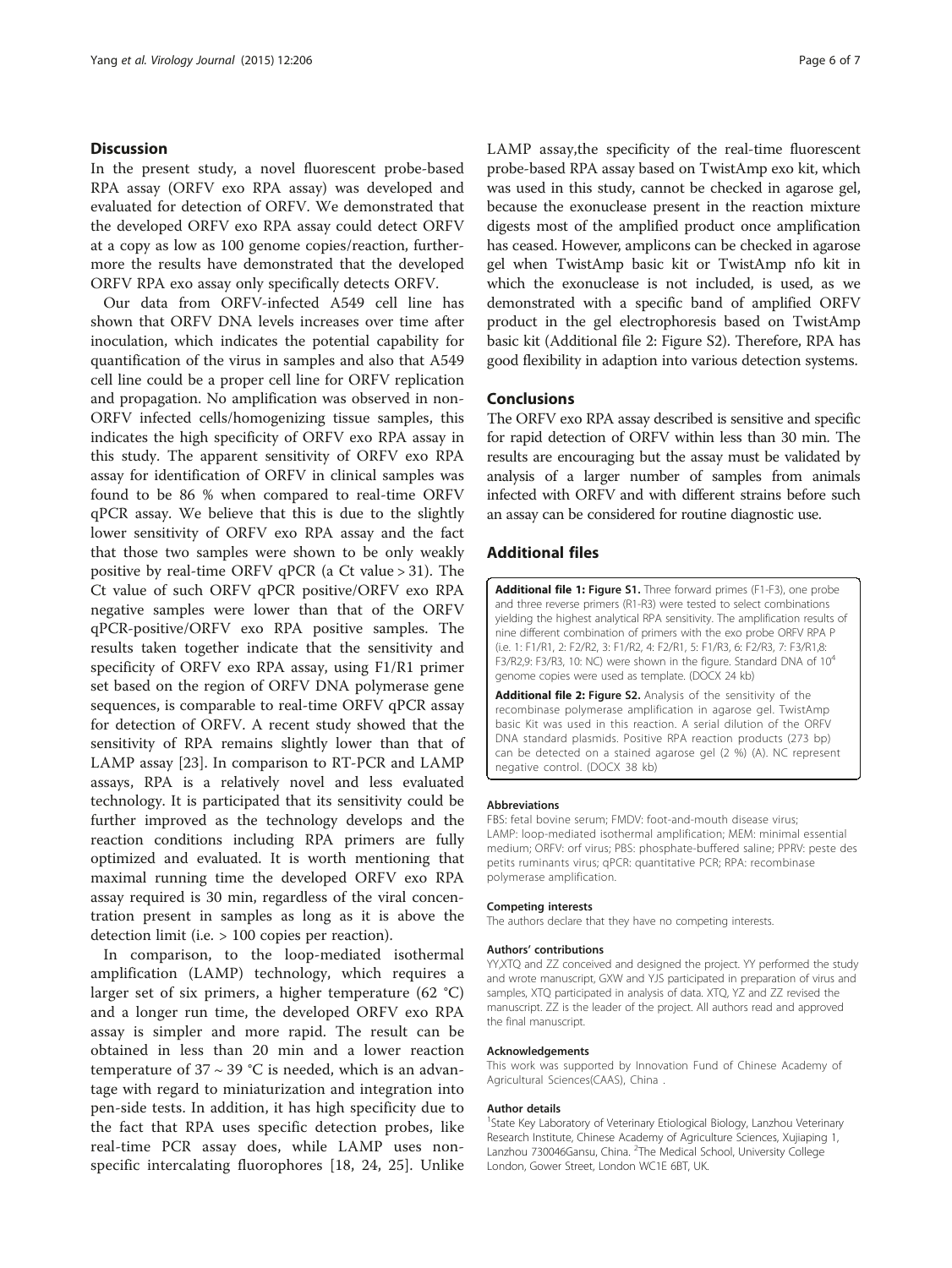#### <span id="page-5-0"></span>**Discussion**

In the present study, a novel fluorescent probe-based RPA assay (ORFV exo RPA assay) was developed and evaluated for detection of ORFV. We demonstrated that the developed ORFV exo RPA assay could detect ORFV at a copy as low as 100 genome copies/reaction, furthermore the results have demonstrated that the developed ORFV RPA exo assay only specifically detects ORFV.

Our data from ORFV-infected A549 cell line has shown that ORFV DNA levels increases over time after inoculation, which indicates the potential capability for quantification of the virus in samples and also that A549 cell line could be a proper cell line for ORFV replication and propagation. No amplification was observed in non-ORFV infected cells/homogenizing tissue samples, this indicates the high specificity of ORFV exo RPA assay in this study. The apparent sensitivity of ORFV exo RPA assay for identification of ORFV in clinical samples was found to be 86 % when compared to real-time ORFV qPCR assay. We believe that this is due to the slightly lower sensitivity of ORFV exo RPA assay and the fact that those two samples were shown to be only weakly positive by real-time ORFV qPCR (a Ct value > 31). The Ct value of such ORFV qPCR positive/ORFV exo RPA negative samples were lower than that of the ORFV qPCR-positive/ORFV exo RPA positive samples. The results taken together indicate that the sensitivity and specificity of ORFV exo RPA assay, using F1/R1 primer set based on the region of ORFV DNA polymerase gene sequences, is comparable to real-time ORFV qPCR assay for detection of ORFV. A recent study showed that the sensitivity of RPA remains slightly lower than that of LAMP assay [[23\]](#page-6-0). In comparison to RT-PCR and LAMP assays, RPA is a relatively novel and less evaluated technology. It is participated that its sensitivity could be further improved as the technology develops and the reaction conditions including RPA primers are fully optimized and evaluated. It is worth mentioning that maximal running time the developed ORFV exo RPA assay required is 30 min, regardless of the viral concentration present in samples as long as it is above the detection limit (i.e. > 100 copies per reaction).

In comparison, to the loop-mediated isothermal amplification (LAMP) technology, which requires a larger set of six primers, a higher temperature (62 °C) and a longer run time, the developed ORFV exo RPA assay is simpler and more rapid. The result can be obtained in less than 20 min and a lower reaction temperature of  $37 \sim 39$  °C is needed, which is an advantage with regard to miniaturization and integration into pen-side tests. In addition, it has high specificity due to the fact that RPA uses specific detection probes, like real-time PCR assay does, while LAMP uses nonspecific intercalating fluorophores [[18, 24](#page-6-0), [25](#page-6-0)]. Unlike LAMP assay,the specificity of the real-time fluorescent probe-based RPA assay based on TwistAmp exo kit, which was used in this study, cannot be checked in agarose gel, because the exonuclease present in the reaction mixture digests most of the amplified product once amplification has ceased. However, amplicons can be checked in agarose gel when TwistAmp basic kit or TwistAmp nfo kit in which the exonuclease is not included, is used, as we demonstrated with a specific band of amplified ORFV product in the gel electrophoresis based on TwistAmp basic kit (Additional file 2: Figure S2). Therefore, RPA has good flexibility in adaption into various detection systems.

#### Conclusions

The ORFV exo RPA assay described is sensitive and specific for rapid detection of ORFV within less than 30 min. The results are encouraging but the assay must be validated by analysis of a larger number of samples from animals infected with ORFV and with different strains before such an assay can be considered for routine diagnostic use.

#### Additional files

[Additional file 1:](dx.doi.org/10.1186/s12985-015-0440-z) Figure S1. Three forward primes (F1-F3), one probe and three reverse primers (R1-R3) were tested to select combinations yielding the highest analytical RPA sensitivity. The amplification results of nine different combination of primers with the exo probe ORFV RPA P (i.e. 1: F1/R1, 2: F2/R2, 3: F1/R2, 4: F2/R1, 5: F1/R3, 6: F2/R3, 7: F3/R1,8: F3/R2,9: F3/R3, 10: NC) were shown in the figure. Standard DNA of 10<sup>4</sup> genome copies were used as template. (DOCX 24 kb)

[Additional file 2:](dx.doi.org/10.1186/s12985-015-0440-z) Figure S2. Analysis of the sensitivity of the recombinase polymerase amplification in agarose gel. TwistAmp basic Kit was used in this reaction. A serial dilution of the ORFV DNA standard plasmids. Positive RPA reaction products (273 bp) can be detected on a stained agarose gel (2 %) (A). NC represent negative control. (DOCX 38 kb)

#### Abbreviations

FBS: fetal bovine serum; FMDV: foot-and-mouth disease virus; LAMP: loop-mediated isothermal amplification; MEM: minimal essential medium; ORFV: orf virus; PBS: phosphate-buffered saline; PPRV: peste des petits ruminants virus; qPCR: quantitative PCR; RPA: recombinase polymerase amplification.

#### Competing interests

The authors declare that they have no competing interests.

#### Authors' contributions

YY,XTQ and ZZ conceived and designed the project. YY performed the study and wrote manuscript, GXW and YJS participated in preparation of virus and samples, XTQ participated in analysis of data. XTQ, YZ and ZZ revised the manuscript. ZZ is the leader of the project. All authors read and approved the final manuscript.

#### Acknowledgements

This work was supported by Innovation Fund of Chinese Academy of Agricultural Sciences(CAAS), China .

#### Author details

<sup>1</sup>State Key Laboratory of Veterinary Etiological Biology, Lanzhou Veterinary Research Institute, Chinese Academy of Agriculture Sciences, Xujiaping 1, Lanzhou 730046Gansu, China. <sup>2</sup>The Medical School, University College London, Gower Street, London WC1E 6BT, UK.